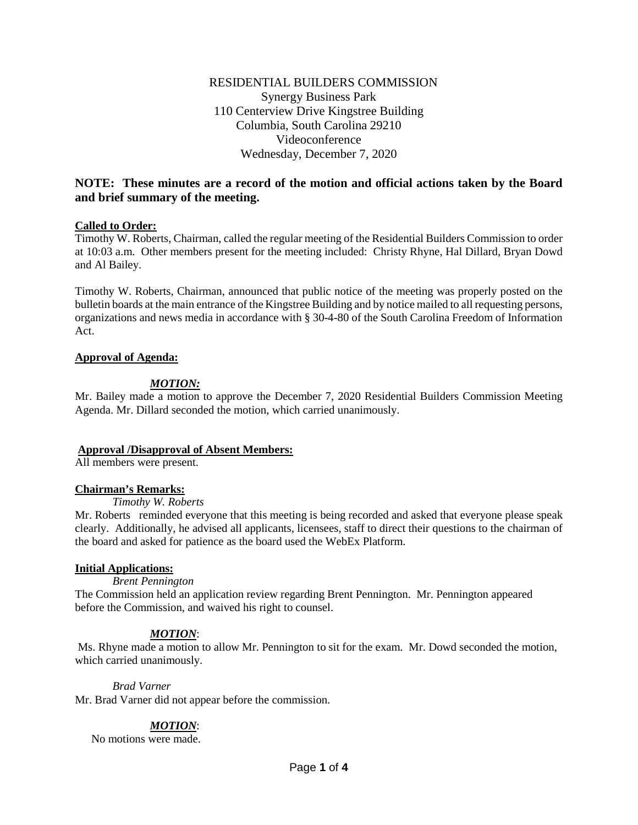# RESIDENTIAL BUILDERS COMMISSION Synergy Business Park 110 Centerview Drive Kingstree Building Columbia, South Carolina 29210 Videoconference Wednesday, December 7, 2020

# **NOTE: These minutes are a record of the motion and official actions taken by the Board and brief summary of the meeting.**

# **Called to Order:**

Timothy W. Roberts, Chairman, called the regular meeting of the Residential Builders Commission to order at 10:03 a.m. Other members present for the meeting included: Christy Rhyne, Hal Dillard, Bryan Dowd and Al Bailey.

Timothy W. Roberts, Chairman, announced that public notice of the meeting was properly posted on the bulletin boards at the main entrance of the Kingstree Building and by notice mailed to all requesting persons, organizations and news media in accordance with § 30-4-80 of the South Carolina Freedom of Information Act.

# **Approval of Agenda:**

# *MOTION:*

Mr. Bailey made a motion to approve the December 7, 2020 Residential Builders Commission Meeting Agenda. Mr. Dillard seconded the motion, which carried unanimously.

# **Approval /Disapproval of Absent Members:**

All members were present.

# **Chairman's Remarks:**

# *Timothy W. Roberts*

Mr. Roberts reminded everyone that this meeting is being recorded and asked that everyone please speak clearly. Additionally, he advised all applicants, licensees, staff to direct their questions to the chairman of the board and asked for patience as the board used the WebEx Platform.

# **Initial Applications:**

# *Brent Pennington*

The Commission held an application review regarding Brent Pennington. Mr. Pennington appeared before the Commission, and waived his right to counsel.

# *MOTION*:

Ms. Rhyne made a motion to allow Mr. Pennington to sit for the exam. Mr. Dowd seconded the motion, which carried unanimously.

# *Brad Varner*

Mr. Brad Varner did not appear before the commission.

# *MOTION*:

No motions were made.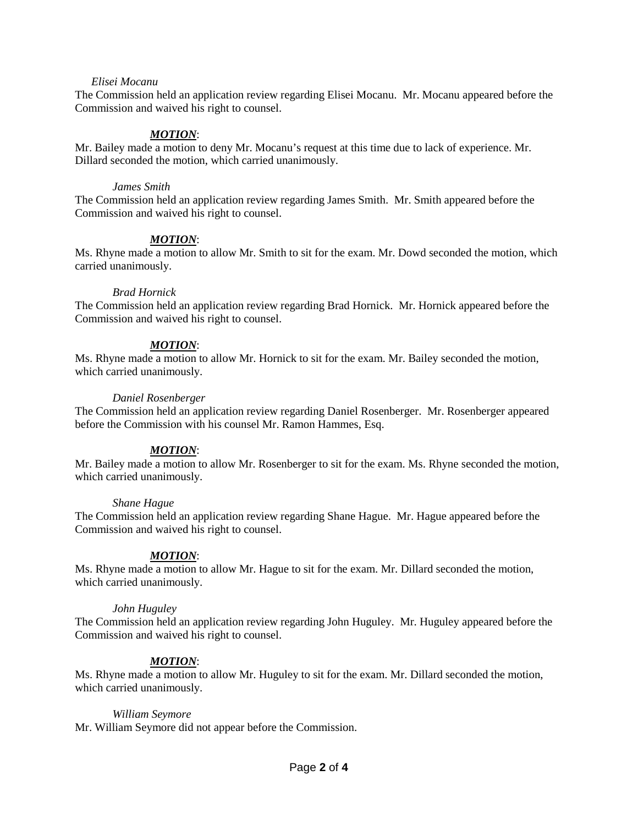#### *Elisei Mocanu*

The Commission held an application review regarding Elisei Mocanu. Mr. Mocanu appeared before the Commission and waived his right to counsel.

# *MOTION*:

Mr. Bailey made a motion to deny Mr. Mocanu's request at this time due to lack of experience. Mr. Dillard seconded the motion, which carried unanimously.

#### *James Smith*

The Commission held an application review regarding James Smith. Mr. Smith appeared before the Commission and waived his right to counsel.

# *MOTION*:

Ms. Rhyne made a motion to allow Mr. Smith to sit for the exam. Mr. Dowd seconded the motion, which carried unanimously.

#### *Brad Hornick*

The Commission held an application review regarding Brad Hornick. Mr. Hornick appeared before the Commission and waived his right to counsel.

# *MOTION*:

Ms. Rhyne made a motion to allow Mr. Hornick to sit for the exam. Mr. Bailey seconded the motion, which carried unanimously.

#### *Daniel Rosenberger*

The Commission held an application review regarding Daniel Rosenberger. Mr. Rosenberger appeared before the Commission with his counsel Mr. Ramon Hammes, Esq.

# *MOTION*:

Mr. Bailey made a motion to allow Mr. Rosenberger to sit for the exam. Ms. Rhyne seconded the motion, which carried unanimously.

#### *Shane Hague*

The Commission held an application review regarding Shane Hague. Mr. Hague appeared before the Commission and waived his right to counsel.

# *MOTION*:

Ms. Rhyne made a motion to allow Mr. Hague to sit for the exam. Mr. Dillard seconded the motion, which carried unanimously.

#### *John Huguley*

The Commission held an application review regarding John Huguley. Mr. Huguley appeared before the Commission and waived his right to counsel.

# *MOTION*:

Ms. Rhyne made a motion to allow Mr. Huguley to sit for the exam. Mr. Dillard seconded the motion, which carried unanimously.

# *William Seymore*

Mr. William Seymore did not appear before the Commission.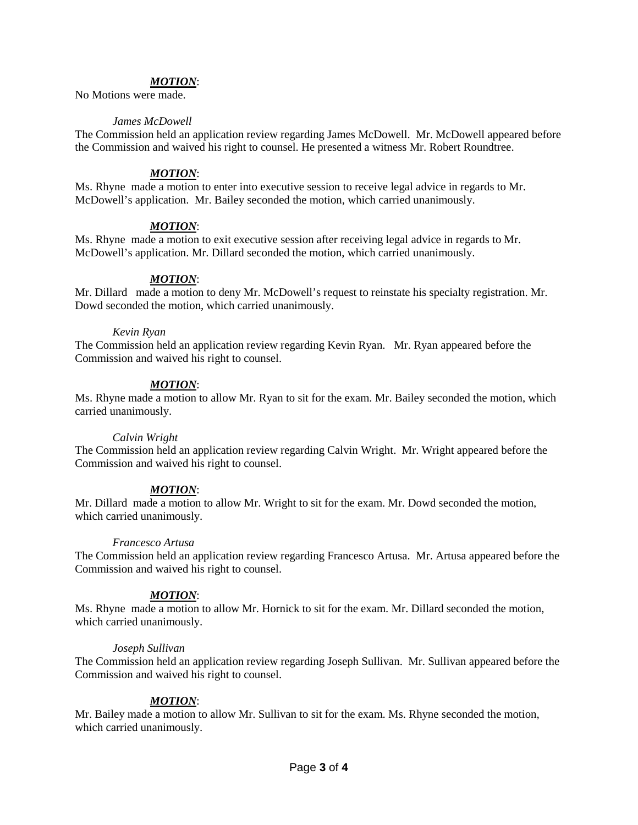#### *MOTION*:

No Motions were made.

#### *James McDowell*

The Commission held an application review regarding James McDowell. Mr. McDowell appeared before the Commission and waived his right to counsel. He presented a witness Mr. Robert Roundtree.

#### *MOTION*:

Ms. Rhyne made a motion to enter into executive session to receive legal advice in regards to Mr. McDowell's application. Mr. Bailey seconded the motion, which carried unanimously.

# *MOTION*:

Ms. Rhyne made a motion to exit executive session after receiving legal advice in regards to Mr. McDowell's application. Mr. Dillard seconded the motion, which carried unanimously.

# *MOTION*:

Mr. Dillard made a motion to deny Mr. McDowell's request to reinstate his specialty registration. Mr. Dowd seconded the motion, which carried unanimously.

#### *Kevin Ryan*

The Commission held an application review regarding Kevin Ryan. Mr. Ryan appeared before the Commission and waived his right to counsel.

# *MOTION*:

Ms. Rhyne made a motion to allow Mr. Ryan to sit for the exam. Mr. Bailey seconded the motion, which carried unanimously.

#### *Calvin Wright*

The Commission held an application review regarding Calvin Wright. Mr. Wright appeared before the Commission and waived his right to counsel.

# *MOTION*:

Mr. Dillard made a motion to allow Mr. Wright to sit for the exam. Mr. Dowd seconded the motion, which carried unanimously.

#### *Francesco Artusa*

The Commission held an application review regarding Francesco Artusa. Mr. Artusa appeared before the Commission and waived his right to counsel.

# *MOTION*:

Ms. Rhyne made a motion to allow Mr. Hornick to sit for the exam. Mr. Dillard seconded the motion, which carried unanimously.

#### *Joseph Sullivan*

The Commission held an application review regarding Joseph Sullivan. Mr. Sullivan appeared before the Commission and waived his right to counsel.

# *MOTION*:

Mr. Bailey made a motion to allow Mr. Sullivan to sit for the exam. Ms. Rhyne seconded the motion, which carried unanimously.